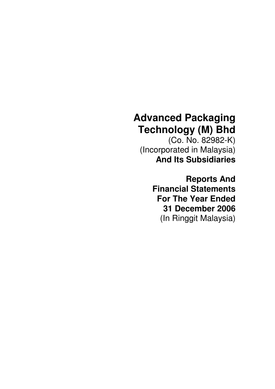# **Advanced Packaging Technology (M) Bhd**

(Co. No. 82982-K) (Incorporated in Malaysia) **And Its Subsidiaries** 

> **Reports And Financial Statements For The Year Ended 31 December 2006**  (In Ringgit Malaysia)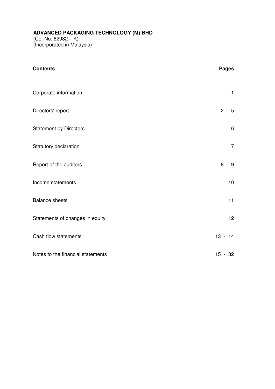**ADVANCED PACKAGING TECHNOLOGY (M) BHD**   $(Co. No. 82982 - K)$ (Incorporated in Malaysia)

| <b>Contents</b>                   | <b>Pages</b>   |
|-----------------------------------|----------------|
| Corporate information             | $\mathbf{1}$   |
| Directors' report                 | $2 - 5$        |
| <b>Statement by Directors</b>     | $6\,$          |
| Statutory declaration             | $\overline{7}$ |
| Report of the auditors            | $8 - 9$        |
| Income statements                 | 10             |
| <b>Balance sheets</b>             | 11             |
| Statements of changes in equity   | 12             |
| Cash flow statements              | $13 - 14$      |
| Notes to the financial statements | $15 - 32$      |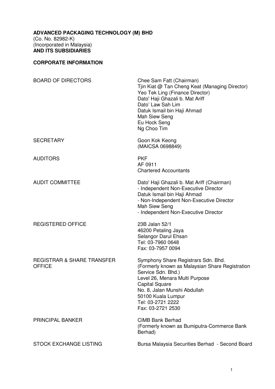## **CORPORATE INFORMATION**

| <b>BOARD OF DIRECTORS</b>                              | Chee Sam Fatt (Chairman)<br>Tjin Kiat @ Tan Cheng Keat (Managing Director)<br>Yeo Tek Ling (Finance Director)<br>Dato' Haji Ghazali b. Mat Ariff<br>Dato' Law Sah Lim<br>Datuk Ismail bin Haji Ahmad<br>Mah Siew Seng<br>Eu Hock Seng<br>Ng Choo Tim             |
|--------------------------------------------------------|------------------------------------------------------------------------------------------------------------------------------------------------------------------------------------------------------------------------------------------------------------------|
| <b>SECRETARY</b>                                       | Goon Kok Keong<br>(MAICSA 0698849)                                                                                                                                                                                                                               |
| <b>AUDITORS</b>                                        | <b>PKF</b><br>AF 0911<br><b>Chartered Accountants</b>                                                                                                                                                                                                            |
| <b>AUDIT COMMITTEE</b>                                 | Dato' Haji Ghazali b. Mat Ariff (Chairman)<br>- Independent Non-Executive Director<br>Datuk Ismail bin Haji Ahmad<br>- Non-Independent Non-Executive Director<br>Mah Siew Seng<br>- Independent Non-Executive Director                                           |
| <b>REGISTERED OFFICE</b>                               | 23B Jalan 52/1<br>46200 Petaling Jaya<br>Selangor Darul Ehsan<br>Tel: 03-7960 0648<br>Fax: 03-7957 0094                                                                                                                                                          |
| <b>REGISTRAR &amp; SHARE TRANSFER</b><br><b>OFFICE</b> | Symphony Share Registrars Sdn. Bhd.<br>(Formerly known as Malaysian Share Registration<br>Service Sdn. Bhd.)<br>Level 26, Menara Multi Purpose<br>Capital Square<br>No. 8, Jalan Munshi Abdullah<br>50100 Kuala Lumpur<br>Tel: 03-2721 2222<br>Fax: 03-2721 2530 |
| <b>PRINCIPAL BANKER</b>                                | <b>CIMB Bank Berhad</b><br>(Formerly known as Bumiputra-Commerce Bank<br>Berhad)                                                                                                                                                                                 |
| <b>STOCK EXCHANGE LISTING</b>                          | Bursa Malaysia Securities Berhad - Second Board                                                                                                                                                                                                                  |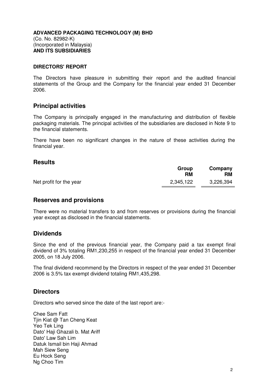#### **DIRECTORS' REPORT**

The Directors have pleasure in submitting their report and the audited financial statements of the Group and the Company for the financial year ended 31 December 2006.

#### **Principal activities**

The Company is principally engaged in the manufacturing and distribution of flexible packaging materials. The principal activities of the subsidiaries are disclosed in Note 9 to the financial statements.

There have been no significant changes in the nature of these activities during the financial year.

#### **Results**

|                         | Group<br>RM | Company<br>RM |
|-------------------------|-------------|---------------|
| Net profit for the year | 2,345,122   | 3,226,394     |

#### **Reserves and provisions**

There were no material transfers to and from reserves or provisions during the financial year except as disclosed in the financial statements.

#### **Dividends**

Since the end of the previous financial year, the Company paid a tax exempt final dividend of 3% totaling RM1,230,255 in respect of the financial year ended 31 December 2005, on 18 July 2006.

The final dividend recommend by the Directors in respect of the year ended 31 December 2006 is 3.5% tax exempt dividend totaling RM1,435,298.

#### **Directors**

Directors who served since the date of the last report are:-

Chee Sam Fatt Tjin Kiat @ Tan Cheng Keat Yeo Tek Ling Dato' Haii Ghazali b. Mat Ariff Dato' Law Sah Lim Datuk Ismail bin Haji Ahmad Mah Siew Seng Eu Hock Seng Ng Choo Tim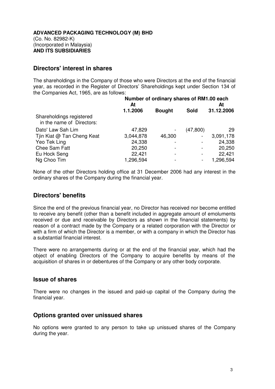# **Directors' interest in shares**

The shareholdings in the Company of those who were Directors at the end of the financial year, as recorded in the Register of Directors' Shareholdings kept under Section 134 of the Companies Act, 1965, are as follows:

|                                                       | Number of ordinary shares of RM1.00 each<br>At<br>At |               |                          |            |
|-------------------------------------------------------|------------------------------------------------------|---------------|--------------------------|------------|
|                                                       | 1.1.2006                                             | <b>Bought</b> | <b>Sold</b>              | 31.12.2006 |
| Shareholdings registered<br>in the name of Directors: |                                                      |               |                          |            |
| Dato' Law Sah Lim                                     | 47,829                                               |               | (47, 800)                | 29         |
| Tjin Kiat @ Tan Cheng Keat                            | 3,044,878                                            | 46,300        | -                        | 3,091,178  |
| Yeo Tek Ling                                          | 24,338                                               |               |                          | 24,338     |
| Chee Sam Fatt                                         | 20,250                                               |               |                          | 20,250     |
| Eu Hock Seng                                          | 22,421                                               |               | $\overline{\phantom{0}}$ | 22,421     |
| Ng Choo Tim                                           | 1,296,594                                            |               | -                        | 1,296,594  |

None of the other Directors holding office at 31 December 2006 had any interest in the ordinary shares of the Company during the financial year.

# **Directors' benefits**

Since the end of the previous financial year, no Director has received nor become entitled to receive any benefit (other than a benefit included in aggregate amount of emoluments received or due and receivable by Directors as shown in the financial statements) by reason of a contract made by the Company or a related corporation with the Director or with a firm of which the Director is a member, or with a company in which the Director has a substantial financial interest.

There were no arrangements during or at the end of the financial year, which had the object of enabling Directors of the Company to acquire benefits by means of the acquisition of shares in or debentures of the Company or any other body corporate.

#### **Issue of shares**

There were no changes in the issued and paid-up capital of the Company during the financial year.

#### **Options granted over unissued shares**

No options were granted to any person to take up unissued shares of the Company during the year.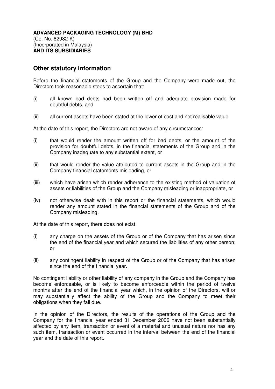# **Other statutory information**

Before the financial statements of the Group and the Company were made out, the Directors took reasonable steps to ascertain that:

- (i) all known bad debts had been written off and adequate provision made for doubtful debts, and
- (ii) all current assets have been stated at the lower of cost and net realisable value.

At the date of this report, the Directors are not aware of any circumstances:

- (i) that would render the amount written off for bad debts, or the amount of the provision for doubtful debts, in the financial statements of the Group and in the Company inadequate to any substantial extent, or
- (ii) that would render the value attributed to current assets in the Group and in the Company financial statements misleading, or
- (iii) which have arisen which render adherence to the existing method of valuation of assets or liabilities of the Group and the Company misleading or inappropriate, or
- (iv) not otherwise dealt with in this report or the financial statements, which would render any amount stated in the financial statements of the Group and of the Company misleading.

At the date of this report, there does not exist:

- (i) any charge on the assets of the Group or of the Company that has arisen since the end of the financial year and which secured the liabilities of any other person; or
- (ii) any contingent liability in respect of the Group or of the Company that has arisen since the end of the financial year.

No contingent liability or other liability of any company in the Group and the Company has become enforceable, or is likely to become enforceable within the period of twelve months after the end of the financial year which, in the opinion of the Directors, will or may substantially affect the ability of the Group and the Company to meet their obligations when they fall due.

In the opinion of the Directors, the results of the operations of the Group and the Company for the financial year ended 31 December 2006 have not been substantially affected by any item, transaction or event of a material and unusual nature nor has any such item, transaction or event occurred in the interval between the end of the financial year and the date of this report.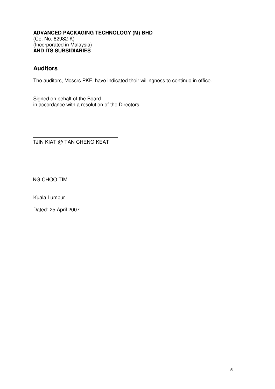# **Auditors**

The auditors, Messrs PKF, have indicated their willingness to continue in office.

Signed on behalf of the Board in accordance with a resolution of the Directors,

TJIN KIAT @ TAN CHENG KEAT

NG CHOO TIM

Kuala Lumpur

Dated: 25 April 2007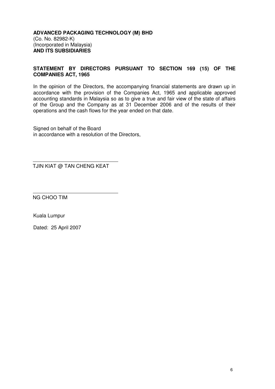#### **STATEMENT BY DIRECTORS PURSUANT TO SECTION 169 (15) OF THE COMPANIES ACT, 1965**

In the opinion of the Directors, the accompanying financial statements are drawn up in accordance with the provision of the Companies Act, 1965 and applicable approved accounting standards in Malaysia so as to give a true and fair view of the state of affairs of the Group and the Company as at 31 December 2006 and of the results of their operations and the cash flows for the year ended on that date.

Signed on behalf of the Board in accordance with a resolution of the Directors,

TJIN KIAT @ TAN CHENG KEAT

NG CHOO TIM

Kuala Lumpur

Dated: 25 April 2007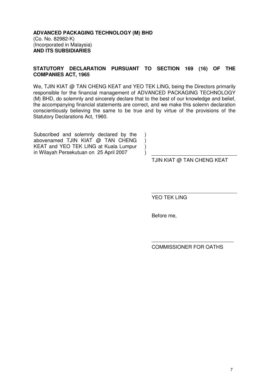#### **STATUTORY DECLARATION PURSUANT TO SECTION 169 (16) OF THE COMPANIES ACT, 1965**

We, TJIN KIAT @ TAN CHENG KEAT and YEO TEK LING, being the Directors primarily responsible for the financial management of ADVANCED PACKAGING TECHNOLOGY (M) BHD, do solemnly and sincerely declare that to the best of our knowledge and belief, the accompanying financial statements are correct, and we make this solemn declaration conscientiously believing the same to be true and by virtue of the provisions of the Statutory Declarations Act, 1960.

> ) ) ) )

Subscribed and solemnly declared by the abovenamed TJIN KIAT @ TAN CHENG KEAT and YEO TEK LING at Kuala Lumpur in Wilayah Persekutuan on 25 April 2007

TJIN KIAT @ TAN CHENG KEAT

YEO TEK LING

Before me,

COMMISSIONER FOR OATHS

\_\_\_\_\_\_\_\_\_\_\_\_\_\_\_\_\_\_\_\_\_\_\_\_\_\_\_\_\_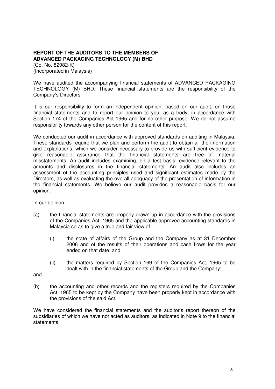#### **REPORT OF THE AUDITORS TO THE MEMBERS OF ADVANCED PACKAGING TECHNOLOGY (M) BHD**

(Co. No. 82982-K) (Incorporated in Malaysia)

We have audited the accompanying financial statements of ADVANCED PACKAGING TECHNOLOGY (M) BHD. These financial statements are the responsibility of the Company's Directors.

It is our responsibility to form an independent opinion, based on our audit, on those financial statements and to report our opinion to you, as a body, in accordance with Section 174 of the Companies Act 1965 and for no other purpose. We do not assume responsibility towards any other person for the content of this report.

We conducted our audit in accordance with approved standards on auditing in Malaysia. These standards require that we plan and perform the audit to obtain all the information and explanations, which we consider necessary to provide us with sufficient evidence to give reasonable assurance that the financial statements are free of material misstatements. An audit includes examining, on a test basis, evidence relevant to the amounts and disclosures in the financial statements. An audit also includes an assessment of the accounting principles used and significant estimates made by the Directors, as well as evaluating the overall adequacy of the presentation of information in the financial statements. We believe our audit provides a reasonable basis for our opinion.

In our opinion:

- (a) the financial statements are properly drawn up in accordance with the provisions of the Companies Act, 1965 and the applicable approved accounting standards in Malaysia so as to give a true and fair view of:
	- (i) the state of affairs of the Group and the Company as at 31 December 2006 and of the results of their operations and cash flows for the year ended on that date; and
	- (ii) the matters required by Section 169 of the Companies Act, 1965 to be dealt with in the financial statements of the Group and the Company;

and

(b) the accounting and other records and the registers required by the Companies Act, 1965 to be kept by the Company have been properly kept in accordance with the provisions of the said Act.

We have considered the financial statements and the auditor's report thereon of the subsidiaries of which we have not acted as auditors, as indicated in Note 9 to the financial statements.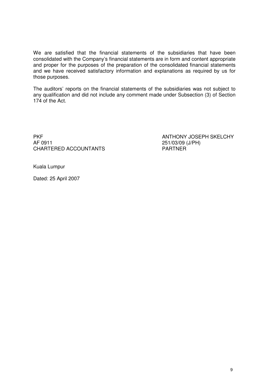We are satisfied that the financial statements of the subsidiaries that have been consolidated with the Company's financial statements are in form and content appropriate and proper for the purposes of the preparation of the consolidated financial statements and we have received satisfactory information and explanations as required by us for those purposes.

The auditors' reports on the financial statements of the subsidiaries was not subject to any qualification and did not include any comment made under Subsection (3) of Section 174 of the Act.

PKF ANTHONY JOSEPH SKELCHY CHARTERED ACCOUNTANTS PARTNER

251/03/09 (J/PH)

Kuala Lumpur

Dated: 25 April 2007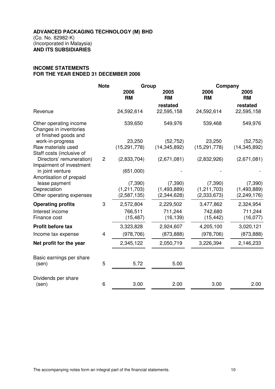#### **INCOME STATEMENTS FOR THE YEAR ENDED 31 DECEMBER 2006**

|                                                                           | <b>Note</b>    | Group             |                   |                   |                   |  | Company |  |
|---------------------------------------------------------------------------|----------------|-------------------|-------------------|-------------------|-------------------|--|---------|--|
|                                                                           |                | 2006<br><b>RM</b> | 2005<br><b>RM</b> | 2006<br><b>RM</b> | 2005<br><b>RM</b> |  |         |  |
|                                                                           |                |                   | restated          |                   | restated          |  |         |  |
| Revenue                                                                   |                | 24,592,614        | 22,595,158        | 24,592,614        | 22,595,158        |  |         |  |
| Other operating income<br>Changes in inventories<br>of finished goods and |                | 539,650           | 549,976           | 539,468           | 549,976           |  |         |  |
| work-in-progress                                                          |                | 23,250            | (52, 752)         | 23,250            | (52, 752)         |  |         |  |
| Raw materials used<br>Staff costs (inclusive of                           |                | (15, 291, 778)    | (14, 345, 892)    | (15, 291, 778)    | (14, 345, 892)    |  |         |  |
| Directors' remuneration)<br>Impairment of investment                      | $\overline{2}$ | (2,833,704)       | (2,671,081)       | (2,832,926)       | (2,671,081)       |  |         |  |
| in joint venture<br>Amortisation of prepaid                               |                | (651,000)         |                   |                   |                   |  |         |  |
| lease payment                                                             |                | (7, 390)          | (7, 390)          | (7, 390)          | (7, 390)          |  |         |  |
| Depreciation                                                              |                | (1,211,703)       | (1,493,889)       | (1,211,703)       | (1,493,889)       |  |         |  |
| Other operating expenses                                                  |                | (2,587,135)       | (2,344,628)       | (2, 333, 673)     | (2,249,176)       |  |         |  |
| <b>Operating profits</b>                                                  | 3              | 2,572,804         | 2,229,502         | 3,477,862         | 2,324,954         |  |         |  |
| Interest income                                                           |                | 766,511           | 711,244           | 742,680           | 711,244           |  |         |  |
| Finance cost                                                              |                | (15, 487)         | (16, 139)         | (15, 442)         | (16,077)          |  |         |  |
| Profit before tax                                                         |                | 3,323,828         | 2,924,607         | 4,205,100         | 3,020,121         |  |         |  |
| Income tax expense                                                        | 4              | (978, 706)        | (873, 888)        | (978, 706)        | (873, 888)        |  |         |  |
| Net profit for the year                                                   |                | 2,345,122         | 2,050,719         | 3,226,394         | 2,146,233         |  |         |  |
| Basic earnings per share                                                  |                |                   |                   |                   |                   |  |         |  |
| (sen)                                                                     | 5              | 5.72              | 5.00              |                   |                   |  |         |  |
| Dividends per share                                                       |                |                   |                   |                   |                   |  |         |  |
| (sen)                                                                     | 6              | 3.00              | 2.00              | 3.00              | 2.00              |  |         |  |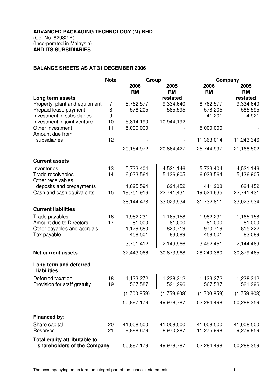#### **BALANCE SHEETS AS AT 31 DECEMBER 2006**

|                                         | <b>Note</b> | Group       |             | Company     |             |
|-----------------------------------------|-------------|-------------|-------------|-------------|-------------|
|                                         |             | 2006        | 2005        | 2006        | 2005        |
|                                         |             | <b>RM</b>   | <b>RM</b>   | <b>RM</b>   | <b>RM</b>   |
| Long term assets                        |             |             | restated    |             | restated    |
| Property, plant and equipment           | 7           | 8,762,577   | 9,334,640   | 8,762,577   | 9,334,640   |
| Prepaid lease payment                   | 8           | 578,205     | 585,595     | 578,205     | 585,595     |
| Investment in subsidiaries              | 9           |             |             | 41,201      | 4,921       |
| Investment in joint venture             | 10          | 5,814,190   | 10,944,192  |             |             |
| Other investment<br>Amount due from     | 11          | 5,000,000   |             | 5,000,000   |             |
| subsidiaries                            | 12          |             |             | 11,363,014  | 11,243,346  |
|                                         |             | 20,154,972  | 20,864,427  | 25,744,997  | 21,168,502  |
| <b>Current assets</b>                   |             |             |             |             |             |
| Inventories                             | 13          | 5,733,404   | 4,521,146   | 5,733,404   | 4,521,146   |
| Trade receivables<br>Other receivables, | 14          | 6,033,564   | 5,136,905   | 6,033,564   | 5,136,905   |
| deposits and prepayments                |             | 4,625,594   | 624,452     | 441,208     | 624,452     |
| Cash and cash equivalents               | 15          | 19,751,916  | 22,741,431  | 19,524,635  | 22,741,431  |
|                                         |             | 36,144,478  | 33,023,934  | 31,732,811  | 33,023,934  |
| <b>Current liabilities</b>              |             |             |             |             |             |
| Trade payables                          | 16          | 1,982,231   | 1,165,158   | 1,982,231   | 1,165,158   |
| Amount due to Directors                 | 17          | 81,000      | 81,000      | 81,000      | 81,000      |
| Other payables and accruals             |             | 1,179,680   | 820,719     | 970,719     | 815,222     |
| Tax payable                             |             | 458,501     | 83,089      | 458,501     | 83,089      |
|                                         |             | 3,701,412   | 2,149,966   | 3,492,451   | 2,144,469   |
| <b>Net current assets</b>               |             | 32,443,066  | 30,873,968  | 28,240,360  | 30,879,465  |
| Long term and deferred<br>liabilities   |             |             |             |             |             |
| Deferred taxation                       | 18          | 1,133,272   | 1,238,312   | 1,133,272   | 1,238,312   |
| Provision for staff gratuity            | 19          | 567,587     | 521,296     | 567,587     | 521,296     |
|                                         |             | (1,700,859) | (1,759,608) | (1,700,859) | (1,759,608) |
|                                         |             | 50,897,179  | 49,978,787  | 52,284,498  | 50,288,359  |
| Financed by:                            |             |             |             |             |             |
| Share capital                           | 20          | 41,008,500  | 41,008,500  | 41,008,500  | 41,008,500  |
| Reserves                                | 21          | 9,888,679   | 8,970,287   | 11,275,998  | 9,279,859   |
| Total equity attributable to            |             |             |             |             |             |
| shareholders of the Company             |             | 50,897,179  | 49,978,787  | 52,284,498  | 50,288,359  |

The accompanying notes form an integral part of the financial statements. 11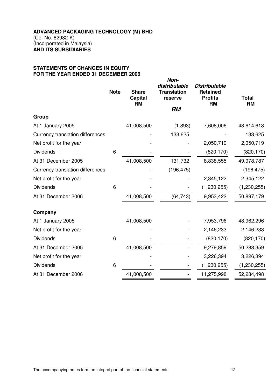#### **STATEMENTS OF CHANGES IN EQUITY FOR THE YEAR ENDED 31 DECEMBER 2006**

|                                         | <b>Note</b> | <b>Share</b><br><b>Capital</b><br><b>RM</b> | Non-<br>distributable<br><b>Translation</b><br>reserve<br><b>RM</b> | <b>Distributable</b><br><b>Retained</b><br><b>Profits</b><br><b>RM</b> | <b>Total</b><br><b>RM</b> |
|-----------------------------------------|-------------|---------------------------------------------|---------------------------------------------------------------------|------------------------------------------------------------------------|---------------------------|
| Group                                   |             |                                             |                                                                     |                                                                        |                           |
| At 1 January 2005                       |             | 41,008,500                                  | (1,893)                                                             | 7,608,006                                                              | 48,614,613                |
| <b>Currency translation differences</b> |             |                                             | 133,625                                                             |                                                                        | 133,625                   |
| Net profit for the year                 |             |                                             |                                                                     | 2,050,719                                                              | 2,050,719                 |
| <b>Dividends</b>                        | 6           |                                             |                                                                     | (820, 170)                                                             | (820, 170)                |
| At 31 December 2005                     |             | 41,008,500                                  | 131,732                                                             | 8,838,555                                                              | 49,978,787                |
| <b>Currency translation differences</b> |             |                                             | (196, 475)                                                          |                                                                        | (196, 475)                |
| Net profit for the year                 |             |                                             |                                                                     | 2,345,122                                                              | 2,345,122                 |
| <b>Dividends</b>                        | 6           |                                             |                                                                     | (1, 230, 255)                                                          | (1, 230, 255)             |
| At 31 December 2006                     |             | 41,008,500                                  | (64, 743)                                                           | 9,953,422                                                              | 50,897,179                |
| Company                                 |             |                                             |                                                                     |                                                                        |                           |
| At 1 January 2005                       |             | 41,008,500                                  |                                                                     | 7,953,796                                                              | 48,962,296                |
| Net profit for the year                 |             |                                             |                                                                     | 2,146,233                                                              | 2,146,233                 |
| <b>Dividends</b>                        | 6           |                                             |                                                                     | (820, 170)                                                             | (820, 170)                |
| At 31 December 2005                     |             | 41,008,500                                  |                                                                     | 9,279,859                                                              | 50,288,359                |
| Net profit for the year                 |             |                                             |                                                                     | 3,226,394                                                              | 3,226,394                 |
| <b>Dividends</b>                        | 6           |                                             |                                                                     | (1, 230, 255)                                                          | (1, 230, 255)             |
| At 31 December 2006                     |             | 41,008,500                                  |                                                                     | 11,275,998                                                             | 52,284,498                |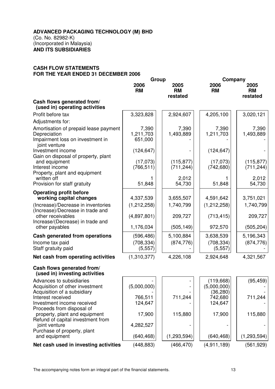#### **CASH FLOW STATEMENTS FOR THE YEAR ENDED 31 DECEMBER 2006**

|                                                                                                            | Group                         |                               | Company                                |                               |
|------------------------------------------------------------------------------------------------------------|-------------------------------|-------------------------------|----------------------------------------|-------------------------------|
|                                                                                                            | 2006<br><b>RM</b>             | 2005<br><b>RM</b><br>restated | 2006<br><b>RM</b>                      | 2005<br><b>RM</b><br>restated |
| Cash flows generated from/<br>(used in) operating activities                                               |                               |                               |                                        |                               |
| Profit before tax                                                                                          | 3,323,828                     | 2,924,607                     | 4,205,100                              | 3,020,121                     |
| Adjustments for:                                                                                           |                               |                               |                                        |                               |
| Amortisation of prepaid lease payment<br>Depreciation<br>Impairment loss on investment in<br>joint venture | 7,390<br>1,211,703<br>651,000 | 7,390<br>1,493,889            | 7,390<br>1,211,703                     | 7,390<br>1,493,889            |
| Investment income<br>Gain on disposal of property, plant                                                   | (124, 647)                    |                               | (124, 647)                             |                               |
| and equipment<br>Interest income<br>Property, plant and equipment                                          | (17,073)<br>(766, 511)        | (115, 877)<br>(711, 244)      | (17,073)<br>(742, 680)                 | (115, 877)<br>(711, 244)      |
| written off<br>Provision for staff gratuity                                                                | 51,848                        | 2,012<br>54,730               | 51,848                                 | 2,012<br>54,730               |
| <b>Operating profit before</b>                                                                             |                               |                               |                                        |                               |
| working capital changes                                                                                    | 4,337,539                     | 3,655,507                     | 4,591,642                              | 3,751,021                     |
| (Increase)/Decrease in inventories<br>(Increase)/Decrease in trade and                                     | (1,212,258)                   | 1,740,799                     | (1, 212, 258)                          | 1,740,799                     |
| other receivables<br>Increase/(Decrease) in trade and                                                      | (4,897,801)                   | 209,727                       | (713, 415)                             | 209,727                       |
| other payables                                                                                             | 1,176,034                     | (505, 149)                    | 972,570                                | (505, 204)                    |
| Cash generated from operations                                                                             | (596, 486)                    | 5,100,884                     | 3,638,539                              | 5,196,343                     |
| Income tax paid<br>Staff gratuity paid                                                                     | (708, 334)<br>(5, 557)        | (874, 776)                    | (708, 334)<br>(5, 557)                 | (874, 776)                    |
| Net cash from operating activities                                                                         | (1,310,377)                   | 4,226,108                     | 2,924,648                              | 4,321,567                     |
| Cash flows generated from/<br>(used in) investing activities                                               |                               |                               |                                        |                               |
| Advances to subsidiaries<br>Acquisition of other investment<br>Acquisition of a subsidiary                 | (5,000,000)                   |                               | (119, 668)<br>(5,000,000)<br>(36, 280) | (95, 459)                     |
| Interest received<br>Investment income received<br>Proceeds from disposal of                               | 766,511<br>124,647            | 711,244                       | 742,680<br>124,647                     | 711,244                       |
| property, plant and equipment<br>Refund of capital investment from                                         | 17,900                        | 115,880                       | 17,900                                 | 115,880                       |
| joint venture<br>Purchase of property, plant                                                               | 4,282,527                     |                               |                                        |                               |
| and equipment                                                                                              | (640, 468)                    | (1,293,594)                   | (640, 468)                             | (1, 293, 594)                 |
| Net cash used in investing activities                                                                      | (448, 883)                    | (466, 470)                    | (4,911,189)                            | (561, 929)                    |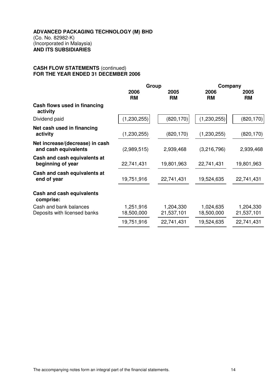#### **CASH FLOW STATEMENTS** (continued) **FOR THE YEAR ENDED 31 DECEMBER 2006**

|                                                         | Group                   |                         | Company                 |                         |
|---------------------------------------------------------|-------------------------|-------------------------|-------------------------|-------------------------|
|                                                         | 2006<br><b>RM</b>       | 2005<br><b>RM</b>       | 2006<br><b>RM</b>       | 2005<br><b>RM</b>       |
| Cash flows used in financing<br>activity                |                         |                         |                         |                         |
| Dividend paid                                           | (1, 230, 255)           | (820, 170)              | (1, 230, 255)           | (820, 170)              |
| Net cash used in financing<br>activity                  | (1, 230, 255)           | (820, 170)              | (1,230,255)             | (820, 170)              |
| Net increase/(decrease) in cash<br>and cash equivalents | (2,989,515)             | 2,939,468               | (3,216,796)             | 2,939,468               |
| Cash and cash equivalents at<br>beginning of year       | 22,741,431              | 19,801,963              | 22,741,431              | 19,801,963              |
| Cash and cash equivalents at<br>end of year             | 19,751,916              | 22,741,431              | 19,524,635              | 22,741,431              |
| Cash and cash equivalents<br>comprise:                  |                         |                         |                         |                         |
| Cash and bank balances<br>Deposits with licensed banks  | 1,251,916<br>18,500,000 | 1,204,330<br>21,537,101 | 1,024,635<br>18,500,000 | 1,204,330<br>21,537,101 |
|                                                         | 19,751,916              | 22,741,431              | 19,524,635              | 22,741,431              |
|                                                         |                         |                         |                         |                         |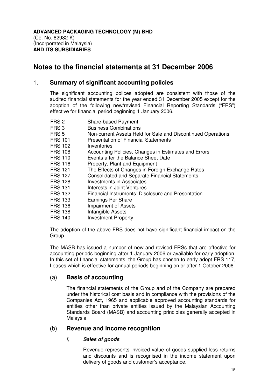# **Notes to the financial statements at 31 December 2006**

# 1. **Summary of significant accounting policies**

The significant accounting polices adopted are consistent with those of the audited financial statements for the year ended 31 December 2005 except for the adoption of the following new/revised Financial Reporting Standards ("FRS") effective for financial period beginning 1 January 2006.

- FRS 2 Share-based Payment<br>FRS 3 Business Combinations
- **Business Combinations**
- FRS 5 Non-current Assets Held for Sale and Discontinued Operations
- FRS 101 Presentation of Financial Statements
- FRS 102 Inventories
- FRS 108 Accounting Policies, Changes in Estimates and Errors
- FRS 110 Events after the Balance Sheet Date
- FRS 116 Property, Plant and Equipment
- FRS 121 The Effects of Changes in Foreign Exchange Rates<br>FRS 127 Consolidated and Separate Financial Statements
- Consolidated and Separate Financial Statements
- FRS 128 Investments in Associates
- FRS 131 Interests in Joint Ventures
- FRS 132 Financial Instruments: Disclosure and Presentation
- FRS 133 Earnings Per Share
- FRS 136 Impairment of Assets
- FRS 138 Intangible Assets
- FRS 140 Investment Property

The adoption of the above FRS does not have significant financial impact on the Group.

The MASB has issued a number of new and revised FRSs that are effective for accounting periods beginning after 1 January 2006 or available for early adoption. In this set of financial statements, the Group has chosen to early adopt FRS 117, Leases which is effective for annual periods beginning on or after 1 October 2006.

#### (a) **Basis of accounting**

The financial statements of the Group and of the Company are prepared under the historical cost basis and in compliance with the provisions of the Companies Act, 1965 and applicable approved accounting standards for entities other than private entities issued by the Malaysian Accounting Standards Board (MASB) and accounting principles generally accepted in Malaysia.

#### (b) **Revenue and income recognition**

#### i) **Sales of goods**

Revenue represents invoiced value of goods supplied less returns and discounts and is recognised in the income statement upon delivery of goods and customer's acceptance.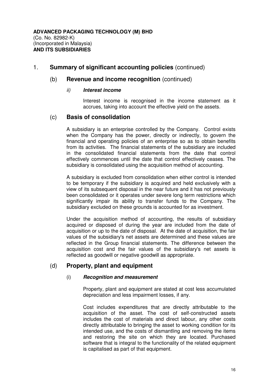### (b) **Revenue and income recognition** (continued)

#### ii) **Interest income**

Interest income is recognised in the income statement as it accrues, taking into account the effective yield on the assets.

# (c) **Basis of consolidation**

 A subsidiary is an enterprise controlled by the Company. Control exists when the Company has the power, directly or indirectly, to govern the financial and operating policies of an enterprise so as to obtain benefits from its activities. The financial statements of the subsidiary are included in the consolidated financial statements from the date that control effectively commences until the date that control effectively ceases. The subsidiary is consolidated using the acquisition method of accounting.

 A subsidiary is excluded from consolidation when either control is intended to be temporary if the subsidiary is acquired and held exclusively with a view of its subsequent disposal in the near future and it has not previously been consolidated or it operates under severe long term restrictions which significantly impair its ability to transfer funds to the Company. The subsidiary excluded on these grounds is accounted for as investment.

Under the acquisition method of accounting, the results of subsidiary acquired or disposed of during the year are included from the date of acquisition or up to the date of disposal. At the date of acquisition, the fair values of the subsidiary's net assets are determined and these values are reflected in the Group financial statements. The difference between the acquisition cost and the fair values of the subsidiary's net assets is reflected as goodwill or negative goodwill as appropriate.

# (d) **Property, plant and equipment**

#### (i) **Recognition and measurement**

Property, plant and equipment are stated at cost less accumulated depreciation and less impairment losses, if any.

Cost includes expenditures that are directly attributable to the acquisition of the asset. The cost of self-constructed assets includes the cost of materials and direct labour, any other costs directly attributable to bringing the asset to working condition for its intended use, and the costs of dismantling and removing the items and restoring the site on which they are located. Purchased software that is integral to the functionality of the related equipment is capitalised as part of that equipment.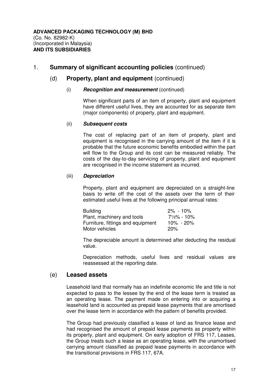### (d) **Property, plant and equipment** (continued)

#### (i) **Recognition and measurement** (continued)

When significant parts of an item of property, plant and equipment have different useful lives, they are accounted for as separate item (major components) of property, plant and equipment.

#### (ii) **Subsequent costs**

The cost of replacing part of an item of property, plant and equipment is recognised in the carrying amount of the item if it is probable that the future economic benefits embodied within the part will flow to the Group and its cost can be measured reliably. The costs of the day-to-day servicing of property, plant and equipment are recognised in the income statement as incurred.

#### (iii) **Depreciation**

Property, plant and equipment are depreciated on a straight-line basis to write off the cost of the assets over the term of their estimated useful lives at the following principal annual rates:

| <b>Building</b>                   | $2\%$ - 10% |
|-----------------------------------|-------------|
| Plant, machinery and tools        | 7½% - 10%   |
| Furniture, fittings and equipment | 10% - 20%   |
| Motor vehicles                    | 20%         |

The depreciable amount is determined after deducting the residual value.

Depreciation methods, useful lives and residual values are reassessed at the reporting date.

#### (e) **Leased assets**

Leasehold land that normally has an indefinite economic life and title is not expected to pass to the lessee by the end of the lease term is treated as an operating lease. The payment made on entering into or acquiring a leasehold land is accounted as prepaid lease payments that are amortised over the lease term in accordance with the pattern of benefits provided.

 The Group had previously classified a lease of land as finance lease and had recognised the amount of prepaid lease payments as property within its property, plant and equipment. On early adoption of FRS 117, Leases, the Group treats such a lease as an operating lease, with the unamortised carrying amount classified as prepaid lease payments in accordance with the transitional provisions in FRS 117, 67A.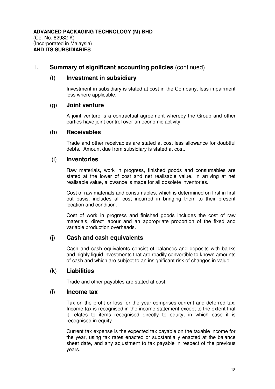#### (f) **Investment in subsidiary**

 Investment in subsidiary is stated at cost in the Company, less impairment loss where applicable.

#### (g) **Joint venture**

 A joint venture is a contractual agreement whereby the Group and other parties have joint control over an economic activity.

### (h) **Receivables**

 Trade and other receivables are stated at cost less allowance for doubtful debts. Amount due from subsidiary is stated at cost.

### (i) **Inventories**

 Raw materials, work in progress, finished goods and consumables are stated at the lower of cost and net realisable value. In arriving at net realisable value, allowance is made for all obsolete inventories.

 Cost of raw materials and consumables, which is determined on first in first out basis, includes all cost incurred in bringing them to their present location and condition.

Cost of work in progress and finished goods includes the cost of raw materials, direct labour and an appropriate proportion of the fixed and variable production overheads.

# (j) **Cash and cash equivalents**

 Cash and cash equivalents consist of balances and deposits with banks and highly liquid investments that are readily convertible to known amounts of cash and which are subject to an insignificant risk of changes in value.

#### (k) **Liabilities**

Trade and other payables are stated at cost.

#### (l) **Income tax**

Tax on the profit or loss for the year comprises current and deferred tax. Income tax is recognised in the income statement except to the extent that it relates to items recognised directly to equity, in which case it is recognised in equity.

Current tax expense is the expected tax payable on the taxable income for the year, using tax rates enacted or substantially enacted at the balance sheet date, and any adjustment to tax payable in respect of the previous years.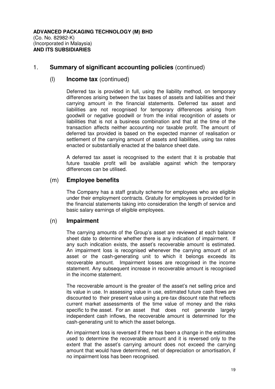#### (l) **Income tax** (continued)

Deferred tax is provided in full, using the liability method, on temporary differences arising between the tax bases of assets and liabilities and their carrying amount in the financial statements. Deferred tax asset and liabilities are not recognised for temporary differences arising from goodwill or negative goodwill or from the initial recognition of assets or liabilities that is not a business combination and that at the time of the transaction affects neither accounting nor taxable profit. The amount of deferred tax provided is based on the expected manner of realisation or settlement of the carrying amount of assets and liabilities, using tax rates enacted or substantially enacted at the balance sheet date.

A deferred tax asset is recognised to the extent that it is probable that future taxable profit will be available against which the temporary differences can be utilised.

# (m) **Employee benefits**

 The Company has a staff gratuity scheme for employees who are eligible under their employment contracts. Gratuity for employees is provided for in the financial statements taking into consideration the length of service and basic salary earnings of eligible employees.

# (n) **Impairment**

The carrying amounts of the Group's asset are reviewed at each balance sheet date to determine whether there is any indication of impairment. If any such indication exists, the asset's recoverable amount is estimated. An impairment loss is recognised whenever the carrying amount of an asset or the cash-generating unit to which it belongs exceeds its recoverable amount. Impairment losses are recognised in the income statement. Any subsequent increase in recoverable amount is recognised in the income statement.

The recoverable amount is the greater of the asset's net selling price and its value in use. In assessing value in use, estimated future cash flows are discounted to their present value using a pre-tax discount rate that reflects current market assessments of the time value of money and the risks specific to the asset. For an asset that does not generate largely independent cash inflows, the recoverable amount is determined for the cash-generating unit to which the asset belongs.

 An impairment loss is reversed if there has been a change in the estimates used to determine the recoverable amount and it is reversed only to the extent that the asset's carrying amount does not exceed the carrying amount that would have determined, net of depreciation or amortisation, if no impairment loss has been recognised.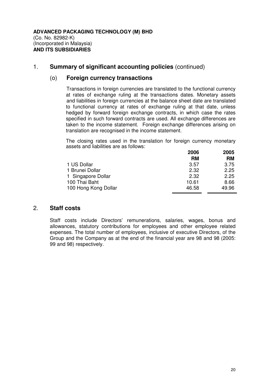#### (o) **Foreign currency transactions**

Transactions in foreign currencies are translated to the functional currency at rates of exchange ruling at the transactions dates. Monetary assets and liabilities in foreign currencies at the balance sheet date are translated to functional currency at rates of exchange ruling at that date, unless hedged by forward foreign exchange contracts, in which case the rates specified in such forward contracts are used. All exchange differences are taken to the income statement. Foreign exchange differences arising on translation are recognised in the income statement.

The closing rates used in the translation for foreign currency monetary assets and liabilities are as follows:

|                      | 2006      | 2005      |
|----------------------|-----------|-----------|
|                      | <b>RM</b> | <b>RM</b> |
| 1 US Dollar          | 3.57      | 3.75      |
| 1 Brunei Dollar      | 2.32      | 2.25      |
| 1 Singapore Dollar   | 2.32      | 2.25      |
| 100 Thai Baht        | 10.61     | 8.66      |
| 100 Hong Kong Dollar | 46.58     | 49.96     |

#### 2. **Staff costs**

Staff costs include Directors' remunerations, salaries, wages, bonus and allowances, statutory contributions for employees and other employee related expenses. The total number of employees, inclusive of executive Directors, of the Group and the Company as at the end of the financial year are 98 and 98 (2005: 99 and 98) respectively.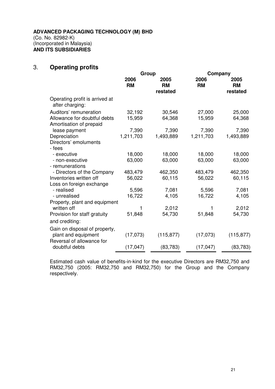# 3. **Operating profits**

|                                                         | Group             |                               | Company           |                               |
|---------------------------------------------------------|-------------------|-------------------------------|-------------------|-------------------------------|
|                                                         | 2006<br><b>RM</b> | 2005<br><b>RM</b><br>restated | 2006<br><b>RM</b> | 2005<br><b>RM</b><br>restated |
| Operating profit is arrived at<br>after charging:       |                   |                               |                   |                               |
| Auditors' remuneration                                  | 32,192            | 30,546                        | 27,000            | 25,000                        |
| Allowance for doubtful debts<br>Amortisation of prepaid | 15,959            | 64,368                        | 15,959            | 64,368                        |
| lease payment                                           | 7,390             | 7,390                         | 7,390             | 7,390                         |
| Depreciation                                            | 1,211,703         | 1,493,889                     | 1,211,703         | 1,493,889                     |
| Directors' emoluments<br>- fees                         |                   |                               |                   |                               |
| - executive                                             | 18,000            | 18,000                        | 18,000            | 18,000                        |
| - non-executive                                         | 63,000            | 63,000                        | 63,000            | 63,000                        |
| - remunerations                                         |                   |                               |                   |                               |
| - Directors of the Company                              | 483,479           | 462,350                       | 483,479           | 462,350                       |
| Inventories written off                                 | 56,022            | 60,115                        | 56,022            | 60,115                        |
| Loss on foreign exchange                                |                   |                               |                   |                               |
| - realised                                              | 5,596             | 7,081                         | 5,596             | 7,081                         |
| - unrealised                                            | 16,722            | 4,105                         | 16,722            | 4,105                         |
| Property, plant and equipment                           |                   |                               |                   |                               |
| written off                                             | 1                 | 2,012                         | 1                 | 2,012                         |
| Provision for staff gratuity                            | 51,848            | 54,730                        | 51,848            | 54,730                        |
|                                                         |                   |                               |                   |                               |
| and crediting:                                          |                   |                               |                   |                               |
| Gain on disposal of property,                           |                   |                               |                   |                               |
| plant and equipment                                     | (17,073)          | (115, 877)                    | (17,073)          | (115, 877)                    |
| Reversal of allowance for                               |                   |                               |                   |                               |
| doubtful debts                                          | (17, 047)         | (83, 783)                     | (17, 047)         | (83, 783)                     |
|                                                         |                   |                               |                   |                               |

Estimated cash value of benefits-in-kind for the executive Directors are RM32,750 and RM32,750 (2005: RM32,750 and RM32,750) for the Group and the Company respectively.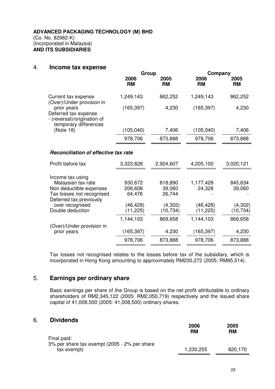#### 4. **Income tax expense**

|                                                                                                                                                                  | Group                                                               |                                                                | Company                                                    |                                                      |  |
|------------------------------------------------------------------------------------------------------------------------------------------------------------------|---------------------------------------------------------------------|----------------------------------------------------------------|------------------------------------------------------------|------------------------------------------------------|--|
|                                                                                                                                                                  | 2006<br><b>RM</b>                                                   | 2005<br><b>RM</b>                                              | 2006<br><b>RM</b>                                          | 2005<br><b>RM</b>                                    |  |
| Current tax expense<br>(Over)/Under provision in                                                                                                                 | 1,249,143                                                           | 862,252                                                        | 1,249,143                                                  | 862,252                                              |  |
| prior years<br>Deferred tax expense<br>- (reversal)/origination of<br>temporary differences                                                                      | (165, 397)                                                          | 4,230                                                          | (165, 397)                                                 | 4,230                                                |  |
| (Note 18)                                                                                                                                                        | (105, 040)                                                          | 7,406                                                          | (105, 040)                                                 | 7,406                                                |  |
|                                                                                                                                                                  | 978,706                                                             | 873,888                                                        | 978,706                                                    | 873,888                                              |  |
| Reconciliation of effective tax rate                                                                                                                             |                                                                     |                                                                |                                                            |                                                      |  |
| Profit before tax                                                                                                                                                | 3,323,828                                                           | 2,924,607                                                      | 4,205,100                                                  | 3,020,121                                            |  |
| Income tax using<br>Malaysian tax rate<br>Non deductible expenses<br>Tax losses not recognised<br>Deferred tax previously<br>over recognised<br>Double deduction | 930,672<br>206,608<br>64,476<br>(46, 428)<br>(11, 225)<br>1,144,103 | 818,890<br>39,060<br>26,744<br>(4,302)<br>(10, 734)<br>869,658 | 1,177,428<br>24,328<br>(46, 428)<br>(11, 225)<br>1,144,103 | 845,634<br>39,060<br>(4,302)<br>(10, 734)<br>869,658 |  |
| (Over)/Under provision in<br>prior years                                                                                                                         | (165, 397)                                                          | 4,230                                                          | (165, 397)                                                 | 4,230                                                |  |
|                                                                                                                                                                  | 978,706                                                             | 873,888                                                        | 978,706                                                    | 873,888                                              |  |

Tax losses not recognised relates to the losses before tax of the subsidiary, which is incorporated in Hong Kong amounting to approximately RM230,272 (2005: RM95,514).

# 5. **Earnings per ordinary share**

Basic earnings per share of the Group is based on the net profit attributable to ordinary shareholders of RM2,345,122 (2005: RM2,050,719) respectively and the issued share capital of 41,008,500 (2005: 41,008,500) ordinary shares.

#### 6. **Dividends**

|                                                             | 2006<br>RM | 2005<br><b>RM</b> |
|-------------------------------------------------------------|------------|-------------------|
| Final paid:<br>3% per share tax exempt (2005 - 2% per share |            |                   |
| tax exempt)                                                 | 1,230,255  | 820,170           |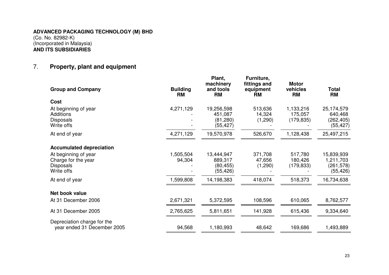# 7. **Property, plant and equipment**

| <b>Group and Company</b>                                                      | <b>Building</b><br><b>RM</b> | Plant,<br>machinery<br>and tools<br><b>RM</b>   | Furniture,<br>fittings and<br>equipment<br><b>RM</b> | <b>Motor</b><br>vehicles<br><b>RM</b> | <b>Total</b><br><b>RM</b>                          |
|-------------------------------------------------------------------------------|------------------------------|-------------------------------------------------|------------------------------------------------------|---------------------------------------|----------------------------------------------------|
| Cost                                                                          |                              |                                                 |                                                      |                                       |                                                    |
| At beginning of year<br>Additions<br><b>Disposals</b><br>Write offs           | 4,271,129                    | 19,256,598<br>451,087<br>(81, 280)<br>(55, 427) | 513,636<br>14,324<br>(1,290)                         | 1,133,216<br>175,057<br>(179, 835)    | 25,174,579<br>640,468<br>(262, 405)<br>(55, 427)   |
| At end of year                                                                | 4,271,129                    | 19,570,978                                      | 526,670                                              | 1,128,438                             | 25,497,215                                         |
| <b>Accumulated depreciation</b>                                               |                              |                                                 |                                                      |                                       |                                                    |
| At beginning of year<br>Charge for the year<br><b>Disposals</b><br>Write offs | 1,505,504<br>94,304          | 13,444,947<br>889,317<br>(80, 455)<br>(55, 426) | 371,708<br>47,656<br>(1,290)                         | 517,780<br>180,426<br>(179, 833)      | 15,839,939<br>1,211,703<br>(261, 578)<br>(55, 426) |
| At end of year                                                                | 1,599,808                    | 14,198,383                                      | 418,074                                              | 518,373                               | 16,734,638                                         |
| Net book value                                                                |                              |                                                 |                                                      |                                       |                                                    |
| At 31 December 2006                                                           | 2,671,321                    | 5,372,595                                       | 108,596                                              | 610,065                               | 8,762,577                                          |
| At 31 December 2005                                                           | 2,765,625                    | 5,811,651                                       | 141,928                                              | 615,436                               | 9,334,640                                          |
| Depreciation charge for the<br>year ended 31 December 2005                    | 94,568                       | 1,180,993                                       | 48,642                                               | 169,686                               | 1,493,889                                          |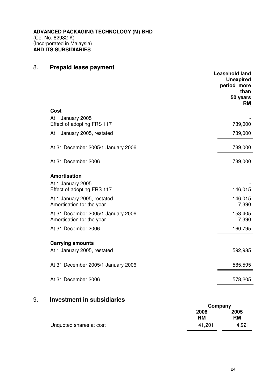# 8. **Prepaid lease payment**

|                                                                 | <b>Leasehold land</b><br><b>Unexpired</b><br>period more<br>than<br>50 years<br><b>RM</b> |
|-----------------------------------------------------------------|-------------------------------------------------------------------------------------------|
| <b>Cost</b>                                                     |                                                                                           |
| At 1 January 2005                                               |                                                                                           |
| Effect of adopting FRS 117                                      | 739,000                                                                                   |
| At 1 January 2005, restated                                     | 739,000                                                                                   |
| At 31 December 2005/1 January 2006                              | 739,000                                                                                   |
| At 31 December 2006                                             | 739,000                                                                                   |
| <b>Amortisation</b>                                             |                                                                                           |
| At 1 January 2005<br>Effect of adopting FRS 117                 | 146,015                                                                                   |
| At 1 January 2005, restated<br>Amortisation for the year        | 146,015<br>7,390                                                                          |
| At 31 December 2005/1 January 2006<br>Amortisation for the year | 153,405<br>7,390                                                                          |
| At 31 December 2006                                             | 160,795                                                                                   |
| <b>Carrying amounts</b>                                         |                                                                                           |
| At 1 January 2005, restated                                     | 592,985                                                                                   |
| At 31 December 2005/1 January 2006                              | 585,595                                                                                   |
| At 31 December 2006                                             | 578,205                                                                                   |
|                                                                 |                                                                                           |

# 9. **Investment in subsidiaries**

|                         | Company           |                   |  |
|-------------------------|-------------------|-------------------|--|
|                         | 2006<br><b>RM</b> | 2005<br><b>RM</b> |  |
| Unquoted shares at cost | 41,201            | 4,921             |  |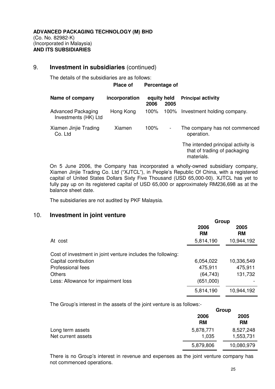# 9. **Investment in subsidiaries** (continued)

The details of the subsidiaries are as follows:

#### **Place of Percentage of**

| Name of company                                   | incorporation | equity held<br>2006 | 2005           | <b>Principal activity</b>                                                        |
|---------------------------------------------------|---------------|---------------------|----------------|----------------------------------------------------------------------------------|
| <b>Advanced Packaging</b><br>Investments (HK) Ltd | Hong Kong     | 100%                | 100%           | Investment holding company.                                                      |
| Xiamen Jinjie Trading<br>Co. Ltd                  | Xiamen        | 100%                | $\blacksquare$ | The company has not commenced<br>operation.                                      |
|                                                   |               |                     |                | The intended principal activity is<br>that of trading of packaging<br>materials. |

 On 5 June 2006, the Company has incorporated a wholly-owned subsidiary company, Xiamen Jinjie Trading Co. Ltd ("XJTCL"), in People's Republic Of China, with a registered capital of United States Dollars Sixty Five Thousand (USD 65,000-00). XJTCL has yet to fully pay up on its registered capital of USD 65,000 or approximately RM236,698 as at the balance sheet date.

The subsidiaries are not audited by PKF Malaysia.

# 10. **Investment in joint venture**

|                                                             | Group             |                   |
|-------------------------------------------------------------|-------------------|-------------------|
|                                                             | 2006<br><b>RM</b> | 2005<br><b>RM</b> |
| At cost                                                     | 5,814,190         | 10,944,192        |
| Cost of investment in joint venture includes the following: |                   |                   |
| Capital contribution                                        | 6,054,022         | 10,336,549        |
| Professional fees                                           | 475,911           | 475,911           |
| <b>Others</b>                                               | (64, 743)         | 131,732           |
| Less: Allowance for impairment loss                         | (651,000)         |                   |
|                                                             | 5,814,190         | 10,944,192        |

The Group's interest in the assets of the joint venture is as follows:-

|                    | Group             |                   |  |
|--------------------|-------------------|-------------------|--|
|                    | 2006<br><b>RM</b> | 2005<br><b>RM</b> |  |
| Long term assets   | 5,878,771         | 8,527,248         |  |
| Net current assets | 1,035             | 1,553,731         |  |
|                    | 5,879,806         | 10,080,979        |  |

There is no Group's interest in revenue and expenses as the joint venture company has not commenced operations.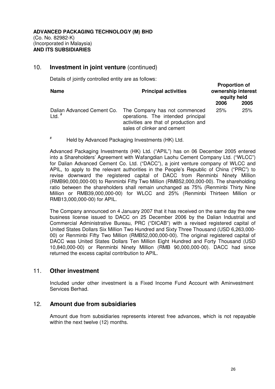# 10. **Investment in joint venture** (continued)

Details of jointly controlled entity are as follows:

| <b>Name</b>                            | <b>Principal activities</b>                                                                                                                 |      | <b>Proportion of</b><br>ownership interest<br>equity held |  |
|----------------------------------------|---------------------------------------------------------------------------------------------------------------------------------------------|------|-----------------------------------------------------------|--|
|                                        |                                                                                                                                             | 2006 | 2005                                                      |  |
| Dalian Advanced Cement Co.<br>Ltd. $#$ | The Company has not commenced<br>operations. The intended principal<br>activities are that of production and<br>sales of clinker and cement | 25%  | 25%                                                       |  |

# Held by Advanced Packaging Investments (HK) Ltd.

Advanced Packaging Investments (HK) Ltd. ("APIL") has on 06 December 2005 entered into a Shareholders' Agreement with Wafangdian Laohu Cement Company Ltd. ("WLCC") for Dalian Advanced Cement Co. Ltd. ("DACC"), a joint venture company of WLCC and APIL, to apply to the relevant authorities in the People's Republic of China ("PRC") to revise downward the registered capital of DACC from Renminbi Ninety Million (RMB90,000,000-00) to Renminbi Fifty Two Million (RMB52,000,000-00). The shareholding ratio between the shareholders shall remain unchanged as 75% (Renminbi Thirty Nine Million or RMB39,000,000-00) for WLCC and 25% (Renminbi Thirteen Million or RMB13,000,000-00) for APIL.

The Company announced on 4 January 2007 that it has received on the same day the new business license issued to DACC on 25 December 2006 by the Dalian Industrial and Commercial Administrative Bureau, PRC ("DICAB") with a revised registered capital of United States Dollars Six Million Two Hundred and Sixty Three Thousand (USD 6,263,000- 00) or Renminbi Fifty Two Million (RMB52,000,000-00). The original registered capital of DACC was United States Dollars Ten Million Eight Hundred and Forty Thousand (USD 10,840,000-00) or Renminbi Ninety Million (RMB 90,000,000-00). DACC had since returned the excess capital contribution to APIL.

#### 11. **Other investment**

 Included under other investment is a Fixed Income Fund Account with Aminvestment Services Berhad.

#### 12. **Amount due from subsidiaries**

 Amount due from subsidiaries represents interest free advances, which is not repayable within the next twelve (12) months.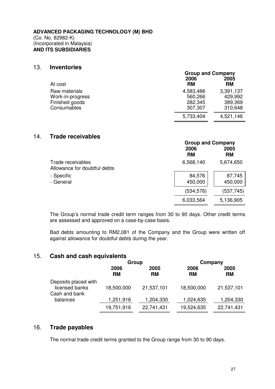#### 13. **Inventories**

|                                                                    | <b>Group and Company</b>                   |                                            |
|--------------------------------------------------------------------|--------------------------------------------|--------------------------------------------|
| At cost                                                            | 2006<br><b>RM</b>                          | 2005<br><b>RM</b>                          |
| Raw materials<br>Work-in-progress<br>Finished goods<br>Consumables | 4,583,486<br>560,266<br>282,345<br>307,307 | 3,391,137<br>429,992<br>389,369<br>310,648 |
|                                                                    | 5,733,404                                  | 4,521,146                                  |

#### 14. **Trade receivables**

|                                                   |                   | <b>Group and Company</b> |  |
|---------------------------------------------------|-------------------|--------------------------|--|
|                                                   | 2006<br><b>RM</b> | 2005<br><b>RM</b>        |  |
| Trade receivables<br>Allowance for doubtful debts | 6,568,140         | 5,674,650                |  |
| - Specific<br>- General                           | 84,576<br>450,000 | 87,745<br>450,000        |  |
|                                                   | (534,576)         | (537, 745)               |  |
|                                                   | 6,033,564         | 5,136,905                |  |

The Group's normal trade credit term ranges from 30 to 90 days. Other credit terms are assessed and approved on a case-by-case basis.

Bad debts amounting to RM2,081 of the Company and the Group were written off against allowance for doubtful debts during the year.

#### 15. **Cash and cash equivalents**

|                                                         | Group             |                   | Company           |                   |  |
|---------------------------------------------------------|-------------------|-------------------|-------------------|-------------------|--|
|                                                         | 2006<br><b>RM</b> | 2005<br><b>RM</b> | 2006<br><b>RM</b> | 2005<br><b>RM</b> |  |
| Deposits placed with<br>licensed banks<br>Cash and bank | 18,500,000        | 21,537,101        | 18,500,000        | 21,537,101        |  |
| balances                                                | 1,251,916         | 1,204,330         | 1,024,635         | 1,204,330         |  |
|                                                         | 19,751,916        | 22,741,431        | 19,524,635        | 22,741,431        |  |

### 16. **Trade payables**

The normal trade credit terms granted to the Group range from 30 to 90 days.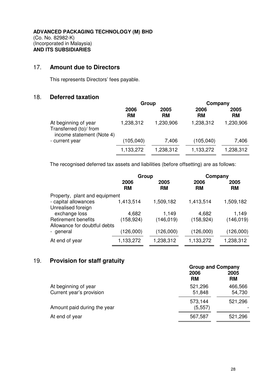## 17. **Amount due to Directors**

This represents Directors' fees payable.

# 18. **Deferred taxation**

|                                                                             | Group             |                   | Company           |                   |
|-----------------------------------------------------------------------------|-------------------|-------------------|-------------------|-------------------|
|                                                                             | 2006<br><b>RM</b> | 2005<br><b>RM</b> | 2006<br><b>RM</b> | 2005<br><b>RM</b> |
| At beginning of year<br>Transferred (to)/ from<br>income statement (Note 4) | 1,238,312         | 1,230,906         | 1,238,312         | 1,230,906         |
| - current year                                                              | (105,040)         | 7,406             | (105, 040)        | 7,406             |
|                                                                             | 1,133,272         | 1,238,312         | 1,133,272         | 1,238,312         |

The recognised deferred tax assets and liabilities (before offsetting) are as follows:

|                               | Group             |                   | Company           |                   |
|-------------------------------|-------------------|-------------------|-------------------|-------------------|
|                               | 2006<br><b>RM</b> | 2005<br><b>RM</b> | 2006<br><b>RM</b> | 2005<br><b>RM</b> |
| Property, plant and equipment |                   |                   |                   |                   |
| - capital allowances          | 1,413,514         | 1,509,182         | 1,413,514         | 1,509,182         |
| Unrealised foreign            |                   |                   |                   |                   |
| exchange loss                 | 4,682             | 1,149             | 4,682             | 1,149             |
| <b>Retirement benefits</b>    | (158, 924)        | (146,019)         | (158, 924)        | (146, 019)        |
| Allowance for doubtful debts  |                   |                   |                   |                   |
| - general                     | (126,000)         | (126,000)         | (126,000)         | (126,000)         |
| At end of year                | 1,133,272         | 1,238,312         | 1,133,272         | 1,238,312         |

# 19. **Provision for staff gratuity**

|                                                  |                     | <b>Group and Company</b> |  |  |
|--------------------------------------------------|---------------------|--------------------------|--|--|
|                                                  | 2006<br><b>RM</b>   | 2005<br><b>RM</b>        |  |  |
| At beginning of year<br>Current year's provision | 521,296<br>51,848   | 466,566<br>54,730        |  |  |
| Amount paid during the year                      | 573,144<br>(5, 557) | 521,296                  |  |  |
| At end of year                                   | 567,587             | 521,296                  |  |  |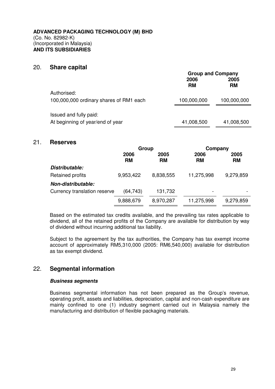#### 20. **Share capital**

|                                         | <b>Group and Company</b> |                   |  |
|-----------------------------------------|--------------------------|-------------------|--|
|                                         | 2006<br><b>RM</b>        | 2005<br><b>RM</b> |  |
| Authorised:                             |                          |                   |  |
| 100,000,000 ordinary shares of RM1 each | 100,000,000              | 100,000,000       |  |
| Issued and fully paid:                  |                          |                   |  |
| At beginning of year/end of year        | 41,008,500               | 41,008,500        |  |

#### 21. **Reserves**

|                              | Group             |                   | Company           |                   |
|------------------------------|-------------------|-------------------|-------------------|-------------------|
|                              | 2006<br><b>RM</b> | 2005<br><b>RM</b> | 2006<br><b>RM</b> | 2005<br><b>RM</b> |
| Distributable:               |                   |                   |                   |                   |
| Retained profits             | 9,953,422         | 8,838,555         | 11,275,998        | 9,279,859         |
| Non-distributable:           |                   |                   |                   |                   |
| Currency translation reserve | (64, 743)         | 131,732           |                   |                   |
|                              | 9,888,679         | 8,970,287         | 11,275,998        | 9,279,859         |

Based on the estimated tax credits available, and the prevailing tax rates applicable to dividend, all of the retained profits of the Company are available for distribution by way of dividend without incurring additional tax liability.

Subject to the agreement by the tax authorities, the Company has tax exempt income account of approximately RM5,310,000 (2005: RM6,540,000) available for distribution as tax exempt dividend.

# 22. **Segmental information**

#### **Business segments**

Business segmental information has not been prepared as the Group's revenue, operating profit, assets and liabilities, depreciation, capital and non-cash expenditure are mainly confined to one (1) industry segment carried out in Malaysia namely the manufacturing and distribution of flexible packaging materials.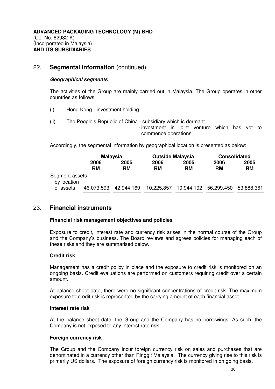# 22. **Segmental information** (continued)

#### **Geographical segments**

The activities of the Group are mainly carried out in Malaysia. The Group operates in other countries as follows:

- (i) Hong Kong investment holding
- (ii) The People's Republic of China subsidiary which is dormant
	- investment in joint venture which has yet to commence operations.

Accordingly, the segmental information by geographical location is presented as below:

|                               |            | <b>Malaysia</b><br><b>Outside Malaysia</b> |            |           |                                  | <b>Consolidated</b> |  |
|-------------------------------|------------|--------------------------------------------|------------|-----------|----------------------------------|---------------------|--|
|                               | 2006       | 2005                                       | 2006       | 2005      | 2006                             | 2005                |  |
|                               | RM         | <b>RM</b>                                  | RM         | <b>RM</b> | <b>RM</b>                        | <b>RM</b>           |  |
| Segment assets<br>by location |            |                                            |            |           |                                  |                     |  |
| of assets                     | 46,073,593 | 42,944,169                                 | 10,225,857 |           | 10,944,192 56,299,450 53,888,361 |                     |  |

# 23. **Financial instruments**

#### **Financial risk management objectives and policies**

Exposure to credit, interest rate and currency risk arises in the normal course of the Group and the Company's business. The Board reviews and agrees policies for managing each of these risks and they are summarised below.

#### **Credit risk**

 Management has a credit policy in place and the exposure to credit risk is monitored on an ongoing basis. Credit evaluations are performed on customers requiring credit over a certain amount.

 At balance sheet date, there were no significant concentrations of credit risk. The maximum exposure to credit risk is represented by the carrying amount of each financial asset.

#### **Interest rate risk**

 At the balance sheet date, the Group and the Company has no borrowings. As such, the Company is not exposed to any interest rate risk.

#### **Foreign currency risk**

The Group and the Company incur foreign currency risk on sales and purchases that are denominated in a currency other than Ringgit Malaysia. The currency giving rise to this risk is primarily US dollars. The exposure of foreign currency risk is monitored in on going basis.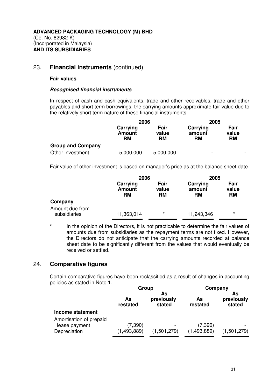# 23. **Financial instruments** (continued)

#### **Fair values**

#### **Recognised financial instruments**

In respect of cash and cash equivalents, trade and other receivables, trade and other payables and short term borrowings, the carrying amounts approximate fair value due to the relatively short term nature of these financial instruments.

|                          | 2006                                   |                            | 2005                            |                            |
|--------------------------|----------------------------------------|----------------------------|---------------------------------|----------------------------|
|                          | Carrying<br><b>Amount</b><br><b>RM</b> | Fair<br>value<br><b>RM</b> | Carrying<br>amount<br><b>RM</b> | Fair<br>value<br><b>RM</b> |
| <b>Group and Company</b> |                                        |                            |                                 |                            |
| Other investment         | 5,000,000                              | 5,000,000                  | -                               |                            |

Fair value of other investment is based on manager's price as at the balance sheet date.

|                                 | 2006                                   |                            | 2005                            |                            |
|---------------------------------|----------------------------------------|----------------------------|---------------------------------|----------------------------|
|                                 | Carrying<br><b>Amount</b><br><b>RM</b> | Fair<br>value<br><b>RM</b> | Carrying<br>amount<br><b>RM</b> | Fair<br>value<br><b>RM</b> |
| Company                         |                                        |                            |                                 |                            |
| Amount due from<br>subsidiaries | 11,363,014                             | $^\star$                   | 11,243,346                      | $\star$                    |

In the opinion of the Directors, it is not practicable to determine the fair values of amounts due from subsidiaries as the repayment terms are not fixed. However, the Directors do not anticipate that the carrying amounts recorded at balance sheet date to be significantly different from the values that would eventually be received or settled.

# 24. **Comparative figures**

 Certain comparative figures have been reclassified as a result of changes in accounting policies as stated in Note 1.

|                                                          | Group                                        |             | Company                 |                            |  |
|----------------------------------------------------------|----------------------------------------------|-------------|-------------------------|----------------------------|--|
|                                                          | As<br>previously<br>As<br>restated<br>stated |             | As<br>restated          | As<br>previously<br>stated |  |
| Income statement                                         |                                              |             |                         |                            |  |
| Amortisation of prepaid<br>lease payment<br>Depreciation | (7, 390)<br>(1, 493, 889)                    | (1,501,279) | (7, 390)<br>(1,493,889) | (1,501,279)                |  |